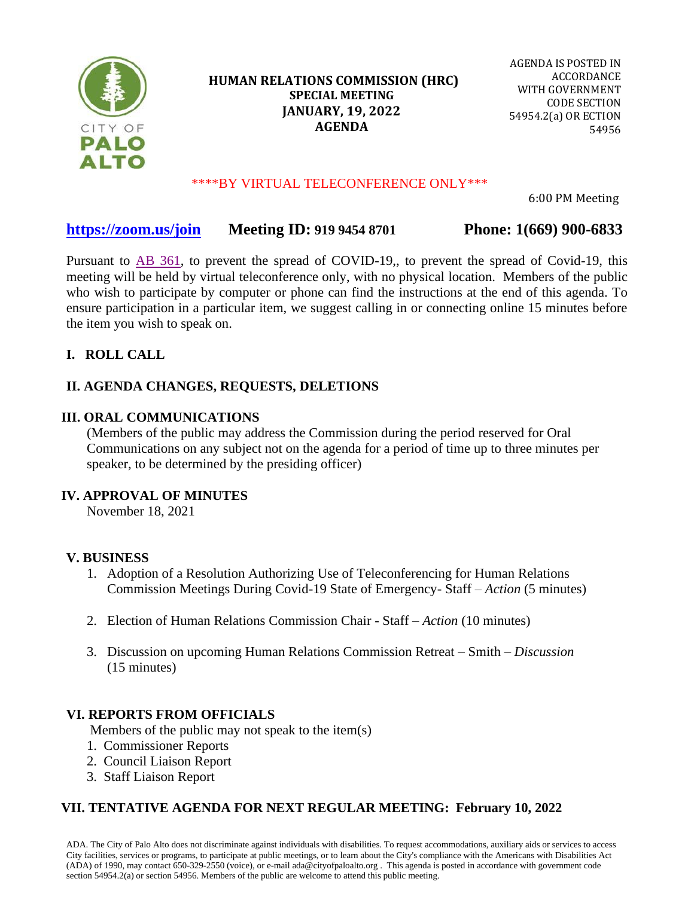

## **HUMAN RELATIONS COMMISSION (HRC) SPECIAL MEETING JANUARY, 19, 2022 AGENDA**

AGENDA IS POSTED IN ACCORDANCE WITH GOVERNMENT CODE SECTION 54954.2(a) OR ECTION 54956

#### \*\*\*\*BY VIRTUAL TELECONFERENCE ONLY\*\*\*

6:00 PM Meeting

## **<https://zoom.us/join>Meeting ID: 919 9454 8701 Phone: 1(669) 900-6833**

Pursuant to [AB 361,](https://leginfo.legislature.ca.gov/faces/billNavClient.xhtml?bill_id=202120220AB361) to prevent the spread of COVID-19,, to prevent the spread of Covid-19, this meeting will be held by virtual teleconference only, with no physical location. Members of the public who wish to participate by computer or phone can find the instructions at the end of this agenda. To ensure participation in a particular item, we suggest calling in or connecting online 15 minutes before the item you wish to speak on.

## **I. ROLL CALL**

## **II. AGENDA CHANGES, REQUESTS, DELETIONS**

#### **III. ORAL COMMUNICATIONS**

(Members of the public may address the Commission during the period reserved for Oral Communications on any subject not on the agenda for a period of time up to three minutes per speaker, to be determined by the presiding officer)

#### **IV. [APPROVAL OF MINUTES](https://www.cityofpaloalto.org/files/assets/public/agendas-minutes-reports/agendas-minutes/human-relations-commission/2022/hrc-1.19.22-11.18.21-draft-minutes.pdf)**

November 18, 2021

## **V. BUSINESS**

- 1. Adoption of a Resolution Authorizing Use of Teleconferencing for Human Relations Commission [Meetings During Covid-19 State of Emergency-](https://www.cityofpaloalto.org/files/assets/public/agendas-minutes-reports/agendas-minutes/human-relations-commission/2022/hrc-1.19.22-remote-meeting-resolution.pdf) Staff – *Action* (5 minutes)
- 2. Election of Human Relations Commission Chair Staff *Action* (10 minutes)
- 3. Discussion on upcoming Human Relations Commission Retreat Smith *Discussion* (15 minutes)

#### **VI. REPORTS FROM OFFICIALS**

Members of the public may not speak to the item(s)

- 1. Commissioner Reports
- 2. Council Liaison Report
- 3. Staff Liaison Report

## **VII. TENTATIVE AGENDA FOR NEXT REGULAR MEETING: February 10, 2022**

ADA. The City of Palo Alto does not discriminate against individuals with disabilities. To request accommodations, auxiliary aids or services to access City facilities, services or programs, to participate at public meetings, or to learn about the City's compliance with the Americans with Disabilities Act (ADA) of 1990, may contact 650-329-2550 (voice), or e-mail ada@cityofpaloalto.org . This agenda is posted in accordance with government code section 54954.2(a) or section 54956. Members of the public are welcome to attend this public meeting.